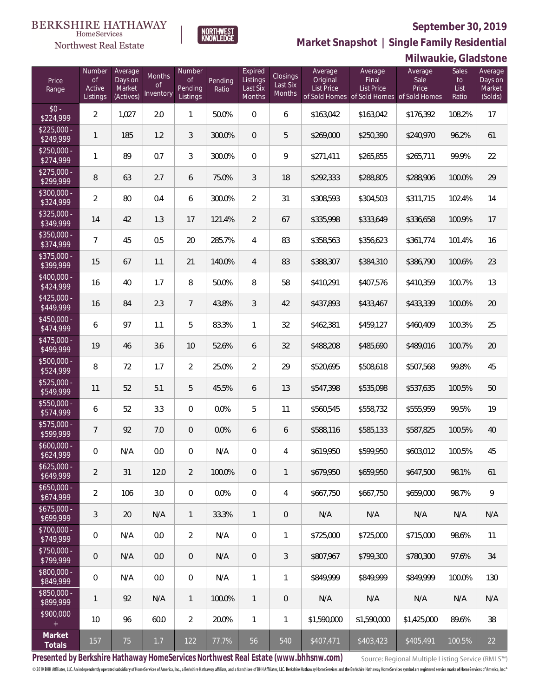

**NORTHWEST**<br>KNOWLEDGE

Northwest Real Estate

**Market Snapshot | Single Family Residential**

| Milwaukie, Gladstone |  |
|----------------------|--|

| Price<br>Range            | Number<br>of<br>Active<br>Listings | Average<br>Days on<br>Market<br>(Actives) | Months<br>0f<br>Inventory | Number<br><b>of</b><br>Pending<br>Listings | Pending<br>Ratio | Expired<br>Listings<br>Last Six<br>Months | Closings<br>Last Six<br>Months | Average<br>Original<br><b>List Price</b> | Average<br>Final<br><b>List Price</b><br>of Sold Homes of Sold Homes of Sold Homes | Average<br>Sale<br>Price | Sales<br>to<br>List<br>Ratio | Average<br>Days on<br>Market<br>(Solds) |
|---------------------------|------------------------------------|-------------------------------------------|---------------------------|--------------------------------------------|------------------|-------------------------------------------|--------------------------------|------------------------------------------|------------------------------------------------------------------------------------|--------------------------|------------------------------|-----------------------------------------|
| $$0 -$<br>\$224,999       | $\overline{2}$                     | 1,027                                     | 2.0                       | $\mathbf{1}$                               | 50.0%            | $\Omega$                                  | 6                              | \$163,042                                | \$163,042                                                                          | \$176,392                | 108.2%                       | 17                                      |
| $$225,000 -$<br>\$249,999 | $\mathbf{1}$                       | 185                                       | 1.2                       | 3                                          | 300.0%           | $\overline{0}$                            | 5                              | \$269,000                                | \$250,390                                                                          | \$240,970                | 96.2%                        | 61                                      |
| $$250,000 -$<br>\$274,999 | 1                                  | 89                                        | 0.7                       | 3                                          | 300.0%           | $\Omega$                                  | 9                              | \$271,411                                | \$265,855                                                                          | \$265,711                | 99.9%                        | 22                                      |
| $$275,000 -$<br>\$299,999 | 8                                  | 63                                        | 2.7                       | 6                                          | 75.0%            | 3                                         | 18                             | \$292,333                                | \$288,805                                                                          | \$288,906                | 100.0%                       | 29                                      |
| $$300,000 -$<br>\$324,999 | $\overline{2}$                     | 80                                        | 0.4                       | 6                                          | 300.0%           | $\overline{2}$                            | 31                             | \$308,593                                | \$304,503                                                                          | \$311,715                | 102.4%                       | 14                                      |
| $$325,000 -$<br>\$349,999 | 14                                 | 42                                        | 1.3                       | 17                                         | 121.4%           | $\overline{2}$                            | 67                             | \$335,998                                | \$333,649                                                                          | \$336,658                | 100.9%                       | 17                                      |
| $$350,000 -$<br>\$374,999 | $\overline{7}$                     | 45                                        | 0.5                       | 20                                         | 285.7%           | $\overline{4}$                            | 83                             | \$358,563                                | \$356,623                                                                          | \$361,774                | 101.4%                       | 16                                      |
| $$375,000 -$<br>\$399,999 | 15                                 | 67                                        | 1.1                       | 21                                         | 140.0%           | $\overline{4}$                            | 83                             | \$388,307                                | \$384,310                                                                          | \$386,790                | 100.6%                       | 23                                      |
| $$400,000 -$<br>\$424,999 | 16                                 | 40                                        | 1.7                       | 8                                          | 50.0%            | 8                                         | 58                             | \$410,291                                | \$407,576                                                                          | \$410,359                | 100.7%                       | 13                                      |
| $$425,000 -$<br>\$449,999 | 16                                 | 84                                        | 2.3                       | $\overline{7}$                             | 43.8%            | $\mathfrak{Z}$                            | 42                             | \$437,893                                | \$433,467                                                                          | \$433,339                | 100.0%                       | 20                                      |
| $$450,000 -$<br>\$474,999 | 6                                  | 97                                        | 1.1                       | 5                                          | 83.3%            | $\mathbf{1}$                              | 32                             | \$462,381                                | \$459,127                                                                          | \$460,409                | 100.3%                       | 25                                      |
| $$475,000 -$<br>\$499,999 | 19                                 | 46                                        | 3.6                       | 10                                         | 52.6%            | 6                                         | 32                             | \$488,208                                | \$485,690                                                                          | \$489,016                | 100.7%                       | 20                                      |
| $$500,000 -$<br>\$524,999 | 8                                  | 72                                        | 1.7                       | $\overline{2}$                             | 25.0%            | $\overline{2}$                            | 29                             | \$520,695                                | \$508,618                                                                          | \$507,568                | 99.8%                        | 45                                      |
| $$525,000 -$<br>\$549,999 | 11                                 | 52                                        | 5.1                       | 5                                          | 45.5%            | 6                                         | 13                             | \$547,398                                | \$535,098                                                                          | \$537,635                | 100.5%                       | 50                                      |
| $$550,000 -$<br>\$574,999 | 6                                  | 52                                        | 3.3                       | $\circ$                                    | 0.0%             | 5                                         | 11                             | \$560,545                                | \$558,732                                                                          | \$555,959                | 99.5%                        | 19                                      |
| $$575,000 -$<br>\$599,999 | $\overline{7}$                     | 92                                        | 7.0                       | $\overline{0}$                             | 0.0%             | 6                                         | 6                              | \$588,116                                | \$585,133                                                                          | \$587,825                | 100.5%                       | 40                                      |
| $$600,000 -$<br>\$624,999 | 0                                  | N/A                                       | 0.0                       | $\overline{0}$                             | N/A              | $\overline{0}$                            | 4                              | \$619,950                                | \$599,950                                                                          | \$603,012                | 100.5%                       | 45                                      |
| $$625,000 -$<br>\$649,999 | $\overline{2}$                     | 31                                        | 12.0                      | $\overline{2}$                             | 100.0%           | $\mathbf 0$                               | $\mathbf{1}$                   | \$679,950                                | \$659,950                                                                          | \$647,500                | 98.1%                        | 61                                      |
| $$650,000 -$<br>\$674,999 | $\overline{2}$                     | 106                                       | 3.0                       | $\mathbf 0$                                | 0.0%             | $\boldsymbol{0}$                          | 4                              | \$667,750                                | \$667,750                                                                          | \$659,000                | 98.7%                        | 9                                       |
| $$675,000 -$<br>\$699,999 | 3                                  | 20                                        | N/A                       | $\mathbf{1}$                               | 33.3%            | $\mathbf{1}$                              | $\mathbf 0$                    | N/A                                      | N/A                                                                                | N/A                      | N/A                          | N/A                                     |
| $$700,000 -$<br>\$749,999 | $\mathbb O$                        | N/A                                       | 0.0                       | $\overline{2}$                             | N/A              | $\boldsymbol{0}$                          | 1                              | \$725,000                                | \$725,000                                                                          | \$715,000                | 98.6%                        | 11                                      |
| \$750,000 -<br>\$799,999  | 0                                  | N/A                                       | 0.0                       | $\mathbf 0$                                | N/A              | $\overline{0}$                            | $\sqrt{3}$                     | \$807,967                                | \$799,300                                                                          | \$780,300                | 97.6%                        | 34                                      |
| \$800,000 -<br>\$849,999  | $\mathbb O$                        | N/A                                       | 0.0                       | 0                                          | N/A              | $\mathbf{1}$                              | 1                              | \$849,999                                | \$849,999                                                                          | \$849,999                | 100.0%                       | 130                                     |
| \$850,000 -<br>\$899,999  | 1                                  | 92                                        | N/A                       | $\mathbf{1}$                               | 100.0%           | $\mathbf{1}$                              | $\mathbf 0$                    | N/A                                      | N/A                                                                                | N/A                      | N/A                          | N/A                                     |
| \$900,000<br>$\pm$        | 10                                 | 96                                        | 60.0                      | $\overline{2}$                             | 20.0%            | $\mathbf{1}$                              | 1                              | \$1,590,000                              | \$1,590,000                                                                        | \$1,425,000              | 89.6%                        | 38                                      |
| Market<br>Totals          | 157                                | 75                                        | 1.7                       | 122                                        | 77.7%            | 56                                        | 540                            | \$407,471                                | \$403,423                                                                          | \$405,491                | 100.5%                       | 22                                      |

**Presented by Berkshire Hathaway HomeServices Northwest Real Estate (www.bhhsnw.com)**

Source: Regional Multiple Listing Service (RMLS™)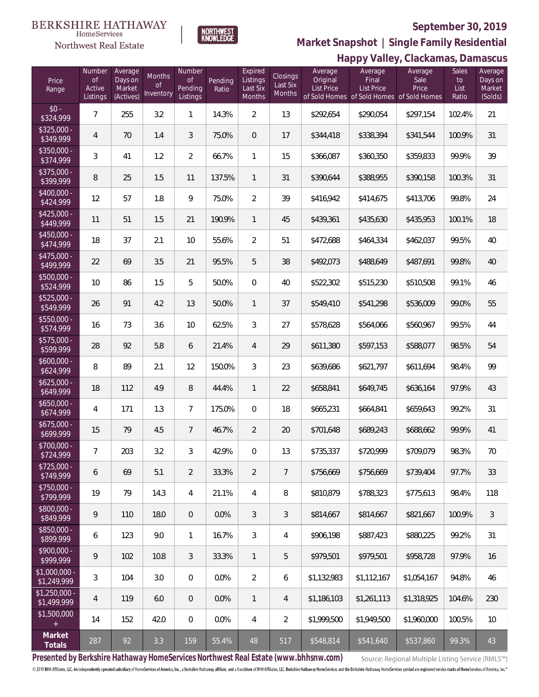#### **BERKSHIRE HATHAWAY**  $\label{lem:sevices} \textsc{Home} \textsc{Service} \textsc{s}$

# Northwest Real Estate

### **September 30, 2019**



**Happy Valley, Clackamas, Damascus Market Snapshot | Single Family Residential**

| Price<br>Range                | Number<br><b>of</b><br>Active<br>Listings | Average<br>Days on<br>Market<br>(Actives) | Months<br><b>of</b><br>Inventory | Number<br><b>of</b><br>Pending<br>Listings | Pending<br>Ratio | Expired<br>Listings<br>Last Six<br>Months | Closings<br>Last Six<br><b>Months</b> | Average<br>Original<br><b>List Price</b> | י −ו −ו −<br>$\cdots$ $\cdots$<br>Average<br>Final<br>List Price<br>of Sold Homes of Sold Homes of Sold Homes | Average<br>Sale<br>Price | Sales<br>to<br>List<br>Ratio | Average<br>Days on<br>Market<br>(Solds) |
|-------------------------------|-------------------------------------------|-------------------------------------------|----------------------------------|--------------------------------------------|------------------|-------------------------------------------|---------------------------------------|------------------------------------------|---------------------------------------------------------------------------------------------------------------|--------------------------|------------------------------|-----------------------------------------|
| $$0 -$<br>\$324,999           | $\overline{7}$                            | 255                                       | 3.2                              | $\mathbf{1}$                               | 14.3%            | $\overline{2}$                            | 13                                    | \$292,654                                | \$290,054                                                                                                     | \$297,154                | 102.4%                       | 21                                      |
| \$325,000 -<br>\$349,999      | $\overline{4}$                            | 70                                        | 1.4                              | 3                                          | 75.0%            | $\overline{0}$                            | 17                                    | \$344,418                                | \$338,394                                                                                                     | \$341,544                | 100.9%                       | 31                                      |
| $$350,000 -$<br>\$374,999     | 3                                         | 41                                        | 1.2                              | $\overline{2}$                             | 66.7%            | $\mathbf{1}$                              | 15                                    | \$366,087                                | \$360,350                                                                                                     | \$359,833                | 99.9%                        | 39                                      |
| \$375,000 -<br>\$399,999      | 8                                         | 25                                        | 1.5                              | 11                                         | 137.5%           | $\mathbf{1}$                              | 31                                    | \$390,644                                | \$388,955                                                                                                     | \$390,158                | 100.3%                       | 31                                      |
| \$400,000 -<br>\$424,999      | 12                                        | 57                                        | 1.8                              | 9                                          | 75.0%            | $\overline{2}$                            | 39                                    | \$416,942                                | \$414,675                                                                                                     | \$413,706                | 99.8%                        | 24                                      |
| $$425,000 -$<br>\$449,999     | 11                                        | 51                                        | 1.5                              | 21                                         | 190.9%           | $\mathbf{1}$                              | 45                                    | \$439,361                                | \$435,630                                                                                                     | \$435,953                | 100.1%                       | 18                                      |
| $$450,000 -$<br>\$474,999     | 18                                        | 37                                        | 2.1                              | 10                                         | 55.6%            | $\overline{2}$                            | 51                                    | \$472,688                                | \$464,334                                                                                                     | \$462,037                | 99.5%                        | 40                                      |
| \$475,000 -<br>\$499,999      | 22                                        | 69                                        | 3.5                              | 21                                         | 95.5%            | 5                                         | 38                                    | \$492,073                                | \$488,649                                                                                                     | \$487,691                | 99.8%                        | 40                                      |
| $$500,000 -$<br>\$524,999     | 10                                        | 86                                        | 1.5                              | 5                                          | 50.0%            | $\boldsymbol{0}$                          | 40                                    | \$522,302                                | \$515,230                                                                                                     | \$510,508                | 99.1%                        | 46                                      |
| $$525,000 -$<br>\$549,999     | 26                                        | 91                                        | 4.2                              | 13                                         | 50.0%            | $\mathbf{1}$                              | 37                                    | \$549,410                                | \$541,298                                                                                                     | \$536,009                | 99.0%                        | 55                                      |
| \$550,000 -<br>\$574,999      | 16                                        | 73                                        | 3.6                              | 10                                         | 62.5%            | 3                                         | 27                                    | \$578,628                                | \$564,066                                                                                                     | \$560,967                | 99.5%                        | 44                                      |
| \$575,000 -<br>\$599,999      | 28                                        | 92                                        | 5.8                              | 6                                          | 21.4%            | $\overline{4}$                            | 29                                    | \$611,380                                | \$597,153                                                                                                     | \$588,077                | 98.5%                        | 54                                      |
| $$600,000 -$<br>\$624,999     | 8                                         | 89                                        | 2.1                              | 12                                         | 150.0%           | 3                                         | 23                                    | \$639,686                                | \$621,797                                                                                                     | \$611,694                | 98.4%                        | 99                                      |
| $$625,000 -$<br>\$649,999     | 18                                        | 112                                       | 4.9                              | 8                                          | 44.4%            | $\mathbf{1}$                              | 22                                    | \$658,841                                | \$649,745                                                                                                     | \$636,164                | 97.9%                        | 43                                      |
| $$650,000 -$<br>\$674,999     | 4                                         | 171                                       | 1.3                              | $\overline{7}$                             | 175.0%           | $\mathbf 0$                               | 18                                    | \$665,231                                | \$664,841                                                                                                     | \$659,643                | 99.2%                        | 31                                      |
| $$675,000 -$<br>\$699,999     | 15                                        | 79                                        | 4.5                              | $\overline{7}$                             | 46.7%            | $\overline{2}$                            | 20                                    | \$701,648                                | \$689,243                                                                                                     | \$688,662                | 99.9%                        | 41                                      |
| \$700,000 -<br>\$724,999      | $\overline{7}$                            | 203                                       | 3.2                              | 3                                          | 42.9%            | $\overline{0}$                            | 13                                    | \$735,337                                | \$720,999                                                                                                     | \$709,079                | 98.3%                        | 70                                      |
| $$725,000 -$<br>\$749,999     | 6                                         | 69                                        | 5.1                              | $\overline{2}$                             | 33.3%            | $\overline{2}$                            | $\overline{7}$                        | \$756,669                                | \$756,669                                                                                                     | \$739,404                | 97.7%                        | 33                                      |
| \$750,000 -<br>\$799,999      | 19                                        | 79                                        | 14.3                             | 4                                          | 21.1%            | 4                                         | 8                                     | \$810,879                                | \$788,323                                                                                                     | \$775,613                | 98.4%                        | 118                                     |
| \$800,000 -<br>\$849,999      | $\mathsf q$                               | 110                                       | 18.0                             | $\theta$                                   | 0.0%             | 3                                         | 3                                     | \$814,667                                | \$814,667                                                                                                     | \$821,667                | 100.9%                       | $\mathfrak{Z}$                          |
| \$850,000 -<br>\$899,999      | 6                                         | 123                                       | 9.0                              | $\mathbf{1}$                               | 16.7%            | 3                                         | 4                                     | \$906,198                                | \$887,423                                                                                                     | \$880,225                | 99.2%                        | 31                                      |
| $$900,000 -$<br>\$999,999     | $\mathsf q$                               | 102                                       | 10.8                             | 3                                          | 33.3%            | $\mathbf{1}$                              | 5                                     | \$979,501                                | \$979,501                                                                                                     | \$958,728                | 97.9%                        | 16                                      |
| $$1,000,000$ -<br>\$1,249,999 | 3                                         | 104                                       | 3.0                              | $\overline{0}$                             | 0.0%             | $\overline{2}$                            | 6                                     | \$1,132,983                              | \$1,112,167                                                                                                   | \$1,054,167              | 94.8%                        | 46                                      |
| $$1,250,000$ -<br>\$1,499,999 | $\overline{4}$                            | 119                                       | 6.0                              | $\theta$                                   | 0.0%             | $\mathbf{1}$                              | 4                                     | \$1,186,103                              | \$1,261,113                                                                                                   | \$1,318,925              | 104.6%                       | 230                                     |
| \$1,500,000<br>$+$            | 14                                        | 152                                       | 42.0                             | $\overline{0}$                             | 0.0%             | 4                                         | $\overline{2}$                        | \$1,999,500                              | \$1,949,500                                                                                                   | \$1,960,000              | 100.5%                       | 10                                      |
| Market<br>Totals              | 287                                       | 92                                        | 3.3                              | 159                                        | 55.4%            | 48                                        | 517                                   | \$548,814                                | \$541,640                                                                                                     | \$537,860                | 99.3%                        | 43                                      |

**Presented by Berkshire Hathaway HomeServices Northwest Real Estate (www.bhhsnw.com)**

Source: Regional Multiple Listing Service (RMLS™)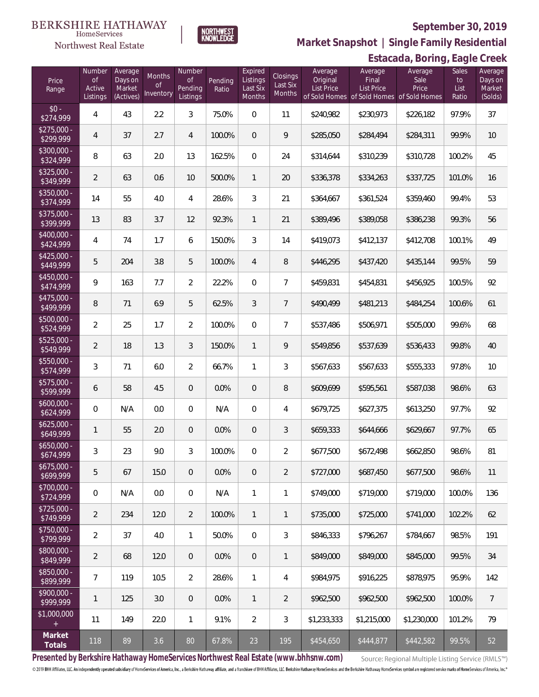## Northwest Real Estate

### **September 30, 2019**



**Market Snapshot | Single Family Residential**

## **Estacada, Boring, Eagle Creek**

| Price<br>Range            | Number<br>$\mathsf{of}$<br>Active<br>Listings | Average<br>Days on<br>Market<br>(Actives) | Months<br>of<br>Inventory | Number<br>of<br>Pending<br>Listings | Pending<br>Ratio | Expired<br>Listings<br>Last Six<br>Months | Closings<br>Last Six<br>Months | Average<br>Original<br>List Price | Average<br>Final<br><b>List Price</b> | Average<br>Sale<br>Price<br>of Sold Homes of Sold Homes of Sold Homes | Sales<br>to<br>List<br>Ratio | Average<br>Days on<br>Market<br>(Solds) |
|---------------------------|-----------------------------------------------|-------------------------------------------|---------------------------|-------------------------------------|------------------|-------------------------------------------|--------------------------------|-----------------------------------|---------------------------------------|-----------------------------------------------------------------------|------------------------------|-----------------------------------------|
| $$0 -$<br>\$274,999       | $\overline{4}$                                | 43                                        | 2.2                       | $\mathfrak{Z}$                      | 75.0%            | $\mathbf 0$                               | 11                             | \$240,982                         | \$230,973                             | \$226,182                                                             | 97.9%                        | 37                                      |
| $$275,000 -$<br>\$299,999 | 4                                             | 37                                        | 2.7                       | $\overline{4}$                      | 100.0%           | $\mathbf 0$                               | $\mathsf{Q}$                   | \$285,050                         | \$284,494                             | \$284,311                                                             | 99.9%                        | 10                                      |
| $$300,000 -$<br>\$324,999 | 8                                             | 63                                        | 2.0                       | 13                                  | 162.5%           | $\overline{0}$                            | 24                             | \$314,644                         | \$310,239                             | \$310,728                                                             | 100.2%                       | 45                                      |
| $$325,000 -$<br>\$349,999 | $\overline{2}$                                | 63                                        | 0.6                       | 10                                  | 500.0%           | $\mathbf{1}$                              | 20                             | \$336,378                         | \$334,263                             | \$337,725                                                             | 101.0%                       | 16                                      |
| $$350,000 -$<br>\$374,999 | 14                                            | 55                                        | 4.0                       | $\overline{4}$                      | 28.6%            | 3                                         | 21                             | \$364,667                         | \$361,524                             | \$359,460                                                             | 99.4%                        | 53                                      |
| $$375,000 -$<br>\$399,999 | 13                                            | 83                                        | 3.7                       | 12                                  | 92.3%            | $\mathbf{1}$                              | 21                             | \$389,496                         | \$389,058                             | \$386,238                                                             | 99.3%                        | 56                                      |
| $$400,000 -$<br>\$424,999 | $\overline{4}$                                | 74                                        | 1.7                       | 6                                   | 150.0%           | 3                                         | 14                             | \$419,073                         | \$412,137                             | \$412,708                                                             | 100.1%                       | 49                                      |
| $$425,000 -$<br>\$449,999 | 5                                             | 204                                       | 3.8                       | 5                                   | 100.0%           | $\overline{4}$                            | $\, 8$                         | \$446,295                         | \$437,420                             | \$435,144                                                             | 99.5%                        | 59                                      |
| $$450,000 -$<br>\$474,999 | 9                                             | 163                                       | 7.7                       | $\overline{2}$                      | 22.2%            | $\Omega$                                  | $\overline{7}$                 | \$459,831                         | \$454,831                             | \$456,925                                                             | 100.5%                       | 92                                      |
| $$475,000 -$<br>\$499,999 | 8                                             | 71                                        | 6.9                       | 5                                   | 62.5%            | 3                                         | $\overline{7}$                 | \$490,499                         | \$481,213                             | \$484,254                                                             | 100.6%                       | 61                                      |
| $$500,000 -$<br>\$524,999 | $\overline{2}$                                | 25                                        | 1.7                       | $\overline{2}$                      | 100.0%           | $\overline{0}$                            | $\overline{7}$                 | \$537,486                         | \$506,971                             | \$505,000                                                             | 99.6%                        | 68                                      |
| $$525,000 -$<br>\$549,999 | $\overline{2}$                                | 18                                        | 1.3                       | $\mathfrak{Z}$                      | 150.0%           | $\mathbf{1}$                              | 9                              | \$549,856                         | \$537,639                             | \$536,433                                                             | 99.8%                        | 40                                      |
| $$550,000 -$<br>\$574,999 | 3                                             | 71                                        | 6.0                       | $\overline{2}$                      | 66.7%            | $\mathbf{1}$                              | $\mathfrak{Z}$                 | \$567,633                         | \$567,633                             | \$555,333                                                             | 97.8%                        | 10                                      |
| \$575,000 -<br>\$599,999  | 6                                             | 58                                        | 4.5                       | $\overline{0}$                      | 0.0%             | $\overline{0}$                            | $\, 8$                         | \$609,699                         | \$595,561                             | \$587,038                                                             | 98.6%                        | 63                                      |
| $$600,000 -$<br>\$624,999 | 0                                             | N/A                                       | 0.0                       | $\Omega$                            | N/A              | $\overline{0}$                            | $\overline{4}$                 | \$679,725                         | \$627,375                             | \$613,250                                                             | 97.7%                        | 92                                      |
| $$625,000 -$<br>\$649,999 | $\mathbf{1}$                                  | 55                                        | 2.0                       | $\overline{0}$                      | 0.0%             | $\overline{0}$                            | $\mathfrak{Z}$                 | \$659,333                         | \$644,666                             | \$629,667                                                             | 97.7%                        | 65                                      |
| $$650,000 -$<br>\$674,999 | 3                                             | 23                                        | 9.0                       | 3                                   | 100.0%           | $\Omega$                                  | $\overline{2}$                 | \$677,500                         | \$672,498                             | \$662,850                                                             | 98.6%                        | 81                                      |
| \$675,000 -<br>\$699,999  | 5                                             | 67                                        | 15.0                      | $\theta$                            | 0.0%             | $\overline{0}$                            | $\overline{2}$                 | \$727,000                         | \$687,450                             | \$677,500                                                             | 98.6%                        | 11                                      |
| \$700,000 -<br>\$724,999  | $\boldsymbol{0}$                              | N/A                                       | 0.0                       | $\mathbf 0$                         | N/A              | $\mathbf{1}$                              | $\mathbf{1}$                   | \$749,000                         | \$719,000                             | \$719,000                                                             | 100.0%                       | 136                                     |
| \$725,000 -<br>\$749,999  | $\overline{2}$                                | 234                                       | 12.0                      | $\overline{2}$                      | 100.0%           | $\mathbf{1}$                              | $\mathbf{1}$                   | \$735,000                         | \$725,000                             | \$741,000                                                             | 102.2%                       | 62                                      |
| $$750,000 -$<br>\$799,999 | $\overline{2}$                                | 37                                        | 4.0                       | $\mathbf{1}$                        | 50.0%            | $\mathbf 0$                               | 3                              | \$846,333                         | \$796,267                             | \$784,667                                                             | 98.5%                        | 191                                     |
| \$800,000 -<br>\$849,999  | $\overline{2}$                                | 68                                        | 12.0                      | $\overline{0}$                      | 0.0%             | $\sqrt{0}$                                | $\mathbf{1}$                   | \$849,000                         | \$849,000                             | \$845,000                                                             | 99.5%                        | 34                                      |
| \$850,000 -<br>\$899,999  | $\overline{7}$                                | 119                                       | 10.5                      | $\overline{2}$                      | 28.6%            | $\mathbf{1}$                              | 4                              | \$984,975                         | \$916,225                             | \$878,975                                                             | 95.9%                        | 142                                     |
| $$900,000 -$<br>\$999,999 | 1                                             | 125                                       | 3.0                       | $\overline{0}$                      | 0.0%             | $\mathbf{1}$                              | $\overline{2}$                 | \$962,500                         | \$962,500                             | \$962,500                                                             | 100.0%                       | $\overline{7}$                          |
| \$1,000,000<br>$\pm$      | 11                                            | 149                                       | 22.0                      | $\mathbf{1}$                        | 9.1%             | $\overline{2}$                            | $\mathfrak{Z}$                 | \$1,233,333                       | \$1,215,000                           | \$1,230,000                                                           | 101.2%                       | 79                                      |
| Market<br>Totals          | 118                                           | 89                                        | 3.6                       | 80                                  | 67.8%            | 23                                        | 195                            | \$454,650                         | \$444,877                             | \$442,582                                                             | 99.5%                        | 52                                      |

**Presented by Berkshire Hathaway HomeServices Northwest Real Estate (www.bhhsnw.com)**

Source: Regional Multiple Listing Service (RMLS™)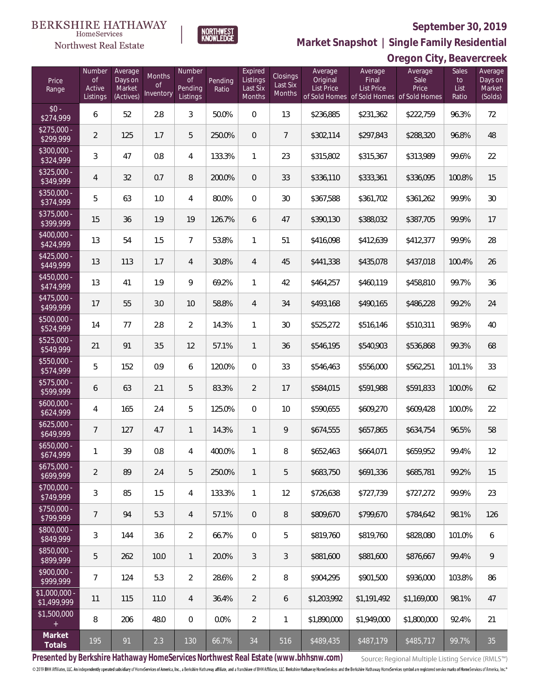## Northwest Real Estate

 $rac{1}{\$2}$ 

 $\frac{1}{\$30}$ 

 $\frac{1}{3}$ 

 $$35,53$ 

 $\frac{1}{3}$ 

 $\frac{$5!}{\$5}$ 

 $rac{1}{$5}$ 

 $$60,56$ 

 $$62$ <br>\$6

 $$65$ 

 $\frac{$6}{6}$ 

 $\frac{$7!}{\$7}$ 

 $$75$ 

 $$80,50$ 

\$8<br>\$8

 $$9<sup>°</sup>$ 

 $$1,0$ <br> $$1,0$ 

 $$1$ 

### **September 30, 2019**

**Oregon City, Beavercreek**



Evnirod

Numbe

**Market Snapshot | Single Family Residential**

| Price<br>Range               | Number<br><b>of</b><br>Active<br>Listings | Average<br>Days on<br>Market<br>(Actives) | <b>Months</b><br>0f<br>Inventory | Number<br><b>of</b><br>Pending<br>Listings | Pending<br>Ratio | Expired<br>Listings<br>Last Six<br>Months | <b>Closings</b><br>Last Six<br><b>Months</b> | Average<br>Original<br><b>List Price</b> | Average<br>Final<br><b>List Price</b><br>of Sold Homes of Sold Homes of Sold Homes | Average<br>Sale<br>Price | Sales<br>to<br>List<br>Ratio | Average<br>Days on<br>Market<br>(Solds) |
|------------------------------|-------------------------------------------|-------------------------------------------|----------------------------------|--------------------------------------------|------------------|-------------------------------------------|----------------------------------------------|------------------------------------------|------------------------------------------------------------------------------------|--------------------------|------------------------------|-----------------------------------------|
| $$0 -$<br>\$274,999          | 6                                         | 52                                        | 2.8                              | 3                                          | 50.0%            | $\boldsymbol{0}$                          | 13                                           | \$236,885                                | \$231,362                                                                          | \$222,759                | 96.3%                        | 72                                      |
| $$275,000 -$<br>\$299,999    | $\overline{2}$                            | 125                                       | 1.7                              | 5                                          | 250.0%           | $\overline{0}$                            | $\overline{7}$                               | \$302,114                                | \$297,843                                                                          | \$288,320                | 96.8%                        | 48                                      |
| \$300,000 -<br>\$324,999     | 3                                         | 47                                        | 0.8                              | 4                                          | 133.3%           | $\mathbf{1}$                              | 23                                           | \$315,802                                | \$315,367                                                                          | \$313,989                | 99.6%                        | 22                                      |
| \$325,000 -<br>\$349,999     | $\overline{4}$                            | 32                                        | 0.7                              | 8                                          | 200.0%           | $\overline{0}$                            | 33                                           | \$336,110                                | \$333,361                                                                          | \$336,095                | 100.8%                       | 15                                      |
| $$350,000 -$<br>\$374,999    | 5                                         | 63                                        | 1.0                              | 4                                          | 80.0%            | 0                                         | 30                                           | \$367,588                                | \$361,702                                                                          | \$361,262                | 99.9%                        | 30                                      |
| $$375,000 -$<br>\$399,999    | 15                                        | 36                                        | 1.9                              | 19                                         | 126.7%           | 6                                         | 47                                           | \$390,130                                | \$388,032                                                                          | \$387,705                | 99.9%                        | 17                                      |
| $$400,000 -$<br>\$424,999    | 13                                        | 54                                        | 1.5                              | $\overline{7}$                             | 53.8%            | 1                                         | 51                                           | \$416,098                                | \$412,639                                                                          | \$412,377                | 99.9%                        | 28                                      |
| $$425,000 -$<br>\$449,999    | 13                                        | 113                                       | 1.7                              | 4                                          | 30.8%            | $\overline{4}$                            | 45                                           | \$441,338                                | \$435,078                                                                          | \$437,018                | 100.4%                       | 26                                      |
| \$450,000 -<br>\$474,999     | 13                                        | 41                                        | 1.9                              | 9                                          | 69.2%            | $\mathbf{1}$                              | 42                                           | \$464,257                                | \$460,119                                                                          | \$458,810                | 99.7%                        | 36                                      |
| \$475,000 -<br>\$499,999     | 17                                        | 55                                        | 3.0                              | 10                                         | 58.8%            | $\overline{4}$                            | 34                                           | \$493,168                                | \$490,165                                                                          | \$486,228                | 99.2%                        | 24                                      |
| \$500,000 -<br>\$524,999     | 14                                        | 77                                        | 2.8                              | $\overline{2}$                             | 14.3%            | $\mathbf{1}$                              | 30                                           | \$525,272                                | \$516,146                                                                          | \$510,311                | 98.9%                        | 40                                      |
| $$525,000 -$<br>\$549,999    | 21                                        | 91                                        | 3.5                              | 12                                         | 57.1%            | $\mathbf{1}$                              | 36                                           | \$546,195                                | \$540,903                                                                          | \$536,868                | 99.3%                        | 68                                      |
| \$550,000 -<br>\$574,999     | 5                                         | 152                                       | 0.9                              | 6                                          | 120.0%           | $\boldsymbol{0}$                          | 33                                           | \$546,463                                | \$556,000                                                                          | \$562,251                | 101.1%                       | 33                                      |
| \$575,000 -<br>\$599,999     | 6                                         | 63                                        | 2.1                              | 5                                          | 83.3%            | $\overline{2}$                            | 17                                           | \$584,015                                | \$591,988                                                                          | \$591,833                | 100.0%                       | 62                                      |
| $$600,000 -$<br>\$624,999    | 4                                         | 165                                       | 2.4                              | 5                                          | 125.0%           | $\mathbf 0$                               | 10                                           | \$590,655                                | \$609,270                                                                          | \$609,428                | 100.0%                       | 22                                      |
| $$625,000 -$<br>\$649,999    | $\overline{7}$                            | 127                                       | 4.7                              | 1                                          | 14.3%            | $\mathbf{1}$                              | 9                                            | \$674,555                                | \$657,865                                                                          | \$634,754                | 96.5%                        | 58                                      |
| $$650,000 -$<br>\$674,999    | 1                                         | 39                                        | 0.8                              | 4                                          | 400.0%           | $\mathbf{1}$                              | 8                                            | \$652,463                                | \$664,071                                                                          | \$659,952                | 99.4%                        | 12                                      |
| $$675,000 -$<br>\$699,999    | $\overline{2}$                            | 89                                        | 2.4                              | 5                                          | 250.0%           | $\mathbf{1}$                              | 5                                            | \$683,750                                | \$691,336                                                                          | \$685,781                | 99.2%                        | 15                                      |
| \$700,000 -<br>\$749,999     | 3                                         | 85                                        | 1.5                              | 4                                          | 133.3%           | $\mathbf{1}$                              | 12                                           | \$726,638                                | \$727,739                                                                          | \$727,272                | 99.9%                        | 23                                      |
| \$750,000 -<br>\$799,999     | $\overline{7}$                            | 94                                        | 5.3                              | 4                                          | 57.1%            | $\overline{0}$                            | 8                                            | \$809,670                                | \$799,670                                                                          | \$784.642                | 98.1%                        | 126                                     |
| \$800,000 -<br>\$849,999     | 3                                         | 144                                       | 3.6                              | $\overline{2}$                             | 66.7%            | $\mathbf 0$                               | 5                                            | \$819,760                                | \$819,760                                                                          | \$828,080                | 101.0%                       | 6                                       |
| \$850,000 -<br>\$899,999     | 5                                         | 262                                       | 10.0                             | 1                                          | 20.0%            | 3                                         | 3                                            | \$881,600                                | \$881,600                                                                          | \$876,667                | 99.4%                        | 9                                       |
| \$900,000 -<br>\$999,999     | $\overline{7}$                            | 124                                       | 5.3                              | $\overline{2}$                             | 28.6%            | $\overline{2}$                            | 8                                            | \$904,295                                | \$901,500                                                                          | \$936,000                | 103.8%                       | 86                                      |
| \$1,000,000 -<br>\$1,499,999 | 11                                        | 115                                       | 11.0                             | 4                                          | 36.4%            | $\overline{2}$                            | 6                                            | \$1,203,992                              | \$1,191,492                                                                        | \$1,169,000              | 98.1%                        | 47                                      |
| \$1,500,000<br>$+$           | 8                                         | 206                                       | 48.0                             | $\mathbf 0$                                | 0.0%             | $\overline{2}$                            | 1                                            | \$1,890,000                              | \$1,949,000                                                                        | \$1,800,000              | 92.4%                        | 21                                      |
| Market<br>Totals             | 195                                       | 91                                        | 2.3                              | 130                                        | 66.7%            | 34                                        | 516                                          | \$489,435                                | \$487,179                                                                          | \$485,717                | 99.7%                        | 35                                      |

**Presented by Berkshire Hathaway HomeServices Northwest Real Estate (www.bhhsnw.com)**

Source: Regional Multiple Listing Service (RMLS™)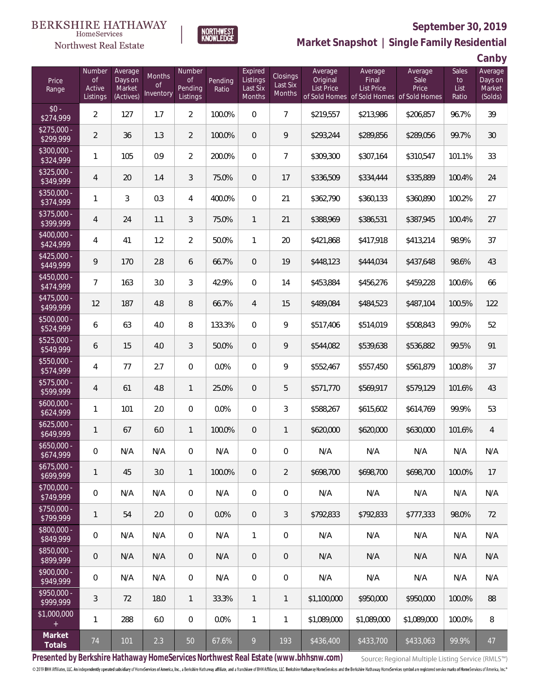**NORTHWEST**<br>KNOWLEDGE



### **September 30, 2019**

**Market Snapshot | Single Family Residential**

**Canby**

|                           |                                           |                                           |                                  |                                     |                  |                                           |                                              |                                          |                                                                                    |                          |                              | $\sim$ uni $\sim$ y                     |
|---------------------------|-------------------------------------------|-------------------------------------------|----------------------------------|-------------------------------------|------------------|-------------------------------------------|----------------------------------------------|------------------------------------------|------------------------------------------------------------------------------------|--------------------------|------------------------------|-----------------------------------------|
| Price<br>Range            | Number<br><b>of</b><br>Active<br>Listings | Average<br>Days on<br>Market<br>(Actives) | Months<br><b>of</b><br>Inventory | Number<br>of<br>Pending<br>Listings | Pending<br>Ratio | Expired<br>Listings<br>Last Six<br>Months | <b>Closings</b><br>Last Six<br><b>Months</b> | Average<br>Original<br><b>List Price</b> | Average<br><b>Final</b><br>List Price<br>of Sold Homes of Sold Homes of Sold Homes | Average<br>Sale<br>Price | Sales<br>to<br>List<br>Ratio | Average<br>Days on<br>Market<br>(Solds) |
| $$0 -$<br>\$274,999       | $\overline{2}$                            | 127                                       | 1.7                              | $\overline{2}$                      | 100.0%           | $\mathbf 0$                               | $\overline{7}$                               | \$219,557                                | \$213,986                                                                          | \$206,857                | 96.7%                        | 39                                      |
| $$275,000 -$<br>\$299,999 | $\overline{2}$                            | 36                                        | 1.3                              | $\overline{2}$                      | 100.0%           | $\mathbf 0$                               | 9                                            | \$293,244                                | \$289,856                                                                          | \$289,056                | 99.7%                        | 30                                      |
| $$300,000 -$<br>\$324,999 | 1                                         | 105                                       | 0.9                              | $\overline{2}$                      | 200.0%           | $\mathbf 0$                               | $\overline{7}$                               | \$309,300                                | \$307,164                                                                          | \$310,547                | 101.1%                       | 33                                      |
| $$325,000 -$<br>349,999   | $\overline{4}$                            | 20                                        | 1.4                              | 3                                   | 75.0%            | $\mathbf 0$                               | 17                                           | \$336,509                                | \$334,444                                                                          | \$335,889                | 100.4%                       | 24                                      |
| $$350,000 -$<br>\$374,999 | $\mathbf{1}$                              | 3                                         | 0.3                              | 4                                   | 400.0%           | $\mathbf 0$                               | 21                                           | \$362,790                                | \$360,133                                                                          | \$360,890                | 100.2%                       | 27                                      |
| $$375,000 -$<br>\$399,999 | $\overline{4}$                            | 24                                        | 1.1                              | 3                                   | 75.0%            | $\mathbf{1}$                              | 21                                           | \$388,969                                | \$386,531                                                                          | \$387,945                | 100.4%                       | 27                                      |
| $$400,000 -$<br>\$424,999 | 4                                         | 41                                        | 1.2                              | $\overline{a}$                      | 50.0%            | $\mathbf{1}$                              | 20                                           | \$421,868                                | \$417,918                                                                          | \$413,214                | 98.9%                        | 37                                      |
| $$425,000 -$<br>\$449,999 | 9                                         | 170                                       | 2.8                              | 6                                   | 66.7%            | $\mathbf 0$                               | 19                                           | \$448,123                                | \$444,034                                                                          | \$437,648                | 98.6%                        | 43                                      |
| $$450,000 -$<br>\$474,999 | $\overline{7}$                            | 163                                       | 3.0                              | 3                                   | 42.9%            | $\mathbf 0$                               | 14                                           | \$453,884                                | \$456,276                                                                          | \$459,228                | 100.6%                       | 66                                      |
| $$475.000 -$<br>\$499,999 | 12                                        | 187                                       | 4.8                              | 8                                   | 66.7%            | $\overline{4}$                            | 15                                           | \$489,084                                | \$484,523                                                                          | \$487,104                | 100.5%                       | 122                                     |
| $$500,000 -$<br>\$524,999 | 6                                         | 63                                        | 4.0                              | 8                                   | 133.3%           | $\overline{0}$                            | 9                                            | \$517,406                                | \$514,019                                                                          | \$508,843                | 99.0%                        | 52                                      |
| $$525,000 -$<br>\$549,999 | 6                                         | 15                                        | 4.0                              | 3                                   | 50.0%            | $\mathbf 0$                               | 9                                            | \$544,082                                | \$539,638                                                                          | \$536,882                | 99.5%                        | 91                                      |
| $$550,000 -$<br>\$574,999 | 4                                         | 77                                        | 2.7                              | $\overline{0}$                      | 0.0%             | $\overline{0}$                            | 9                                            | \$552,467                                | \$557,450                                                                          | \$561,879                | 100.8%                       | 37                                      |
| \$575,000 -<br>\$599,999  | $\overline{4}$                            | 61                                        | 4.8                              | 1                                   | 25.0%            | $\mathbf 0$                               | 5                                            | \$571,770                                | \$569,917                                                                          | \$579,129                | 101.6%                       | 43                                      |
| $$600,000 -$<br>\$624,999 | $\mathbf{1}$                              | 101                                       | 2.0                              | $\overline{0}$                      | 0.0%             | $\overline{0}$                            | 3                                            | \$588,267                                | \$615,602                                                                          | \$614,769                | 99.9%                        | 53                                      |
| $$625,000 -$<br>\$649,999 | $\mathbf{1}$                              | 67                                        | 6.0                              | 1                                   | 100.0%           | $\mathbf 0$                               | $\mathbf{1}$                                 | \$620,000                                | \$620,000                                                                          | \$630,000                | 101.6%                       | 4                                       |
| $$650,000 -$<br>\$674,999 | $\boldsymbol{0}$                          | N/A                                       | N/A                              | 0                                   | N/A              | 0                                         | 0                                            | N/A                                      | N/A                                                                                | N/A                      | N/A                          | N/A                                     |
| \$675,000 -<br>\$699,999  | 1                                         | 45                                        | 3.0                              | 1                                   | 100.0%           | $\mathbf 0$                               | $\overline{2}$                               | \$698,700                                | \$698,700                                                                          | \$698,700                | 100.0%                       | 17                                      |
| \$700,000 -<br>\$749,999  | $\boldsymbol{0}$                          | N/A                                       | N/A                              | $\mathbf 0$                         | N/A              | $\overline{0}$                            | $\mathbf 0$                                  | N/A                                      | N/A                                                                                | N/A                      | N/A                          | N/A                                     |
| $$750,000 -$<br>\$799,999 | 1                                         | 54                                        | 2.0                              | $\mathbf 0$                         | 0.0%             | $\mathbf 0$                               | 3                                            | \$792,833                                | \$792,833                                                                          | \$777,333                | 98.0%                        | 72                                      |
| \$800,000 -<br>\$849,999  | $\boldsymbol{0}$                          | N/A                                       | N/A                              | $\mathbf 0$                         | N/A              | $\mathbf{1}$                              | $\mathbf 0$                                  | N/A                                      | N/A                                                                                | N/A                      | N/A                          | N/A                                     |
| \$850,000 -<br>\$899,999  | 0                                         | N/A                                       | N/A                              | $\overline{0}$                      | N/A              | $\mathbf 0$                               | $\mathbf 0$                                  | N/A                                      | N/A                                                                                | N/A                      | N/A                          | N/A                                     |
| \$900,000 -<br>\$949,999  | $\mathsf{O}\xspace$                       | N/A                                       | N/A                              | $\mathbf 0$                         | N/A              | $\mathbf 0$                               | $\,0\,$                                      | N/A                                      | N/A                                                                                | N/A                      | N/A                          | N/A                                     |
| \$950,000 -<br>\$999,999  | $\sqrt{3}$                                | 72                                        | 18.0                             | $\overline{1}$                      | 33.3%            | $\mathbf{1}$                              | $\overline{1}$                               | \$1,100,000                              | \$950,000                                                                          | \$950,000                | 100.0%                       | 88                                      |
| \$1,000,000<br>$\pm$      | 1                                         | 288                                       | 6.0                              | $\boldsymbol{0}$                    | 0.0%             | $\mathbf{1}$                              | $\mathbf{1}$                                 | \$1,089,000                              | \$1,089,000                                                                        | \$1,089,000              | 100.0%                       | 8                                       |
| Market<br>Totals          | $74\,$                                    | 101                                       | 2.3                              | 50                                  | 67.6%            | 9                                         | 193                                          | \$436,400                                | \$433,700                                                                          | \$433,063                | 99.9%                        | 47                                      |

**Presented by Berkshire Hathaway HomeServices Northwest Real Estate (www.bhhsnw.com)**

Source: Regional Multiple Listing Service (RMLS™)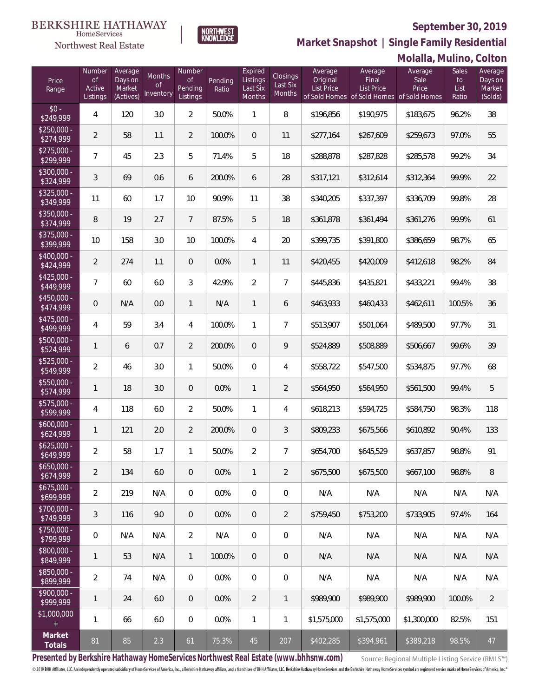

NORTHWEST<br>KNOWLEDGE

Northwest Real Estate

**Market Snapshot | Single Family Residential**

|                           |                     |                     |                            |                     |         |                     |                           |                     |                                                                | Molalla, Mulino, Colton |               |                    |
|---------------------------|---------------------|---------------------|----------------------------|---------------------|---------|---------------------|---------------------------|---------------------|----------------------------------------------------------------|-------------------------|---------------|--------------------|
| Price                     | Number<br><b>of</b> | Average<br>Days on  | Months                     | Number<br><b>of</b> | Pending | Expired<br>Listings | Closings                  | Average<br>Original | Average<br>Final                                               | Average<br>Sale         | Sales<br>to   | Average<br>Days on |
| Range                     | Active<br>Listings  | Market<br>(Actives) | <sub>of</sub><br>Inventory | Pending<br>Listings | Ratio   | Last Six<br>Months  | Last Six<br><b>Months</b> | <b>List Price</b>   | <b>List Price</b><br>of Sold Homes of Sold Homes of Sold Homes | Price                   | List<br>Ratio | Market<br>(Solds)  |
| $$0 -$<br>\$249,999       | 4                   | 120                 | 3.0                        | $\overline{2}$      | 50.0%   | $\mathbf{1}$        | 8                         | \$196,856           | \$190,975                                                      | \$183,675               | 96.2%         | 38                 |
| $$250,000 -$<br>\$274,999 | $\overline{2}$      | 58                  | 1.1                        | 2                   | 100.0%  | $\overline{0}$      | 11                        | \$277,164           | \$267,609                                                      | \$259,673               | 97.0%         | 55                 |
| $$275,000 -$<br>\$299,999 | $\overline{7}$      | 45                  | 2.3                        | 5                   | 71.4%   | 5                   | 18                        | \$288,878           | \$287,828                                                      | \$285,578               | 99.2%         | 34                 |
| $$300,000 -$<br>\$324,999 | 3                   | 69                  | 0.6                        | 6                   | 200.0%  | 6                   | 28                        | \$317,121           | \$312,614                                                      | \$312,364               | 99.9%         | 22                 |
| $$325,000 -$<br>\$349,999 | 11                  | 60                  | 1.7                        | 10                  | 90.9%   | 11                  | 38                        | \$340,205           | \$337,397                                                      | \$336,709               | 99.8%         | 28                 |
| $$350,000 -$<br>\$374,999 | 8                   | 19                  | 2.7                        | $\overline{7}$      | 87.5%   | 5                   | 18                        | \$361,878           | \$361,494                                                      | \$361,276               | 99.9%         | 61                 |
| $$375,000 -$<br>\$399,999 | 10                  | 158                 | 3.0                        | 10                  | 100.0%  | 4                   | 20                        | \$399,735           | \$391,800                                                      | \$386,659               | 98.7%         | 65                 |
| $$400.000 -$<br>\$424,999 | $\overline{2}$      | 274                 | 1.1                        | $\overline{0}$      | 0.0%    | $\mathbf{1}$        | 11                        | \$420,455           | \$420,009                                                      | \$412,618               | 98.2%         | 84                 |
| $$425,000 -$<br>\$449,999 | $\overline{7}$      | 60                  | 6.0                        | 3                   | 42.9%   | $\overline{2}$      | $\overline{7}$            | \$445,836           | \$435,821                                                      | \$433,221               | 99.4%         | 38                 |
| $$450.000 -$<br>\$474,999 | $\theta$            | N/A                 | 0.0                        | 1                   | N/A     | $\mathbf{1}$        | 6                         | \$463,933           | \$460,433                                                      | \$462,611               | 100.5%        | 36                 |
| $$475,000 -$<br>\$499,999 | 4                   | 59                  | 3.4                        | 4                   | 100.0%  | 1                   | $\overline{7}$            | \$513,907           | \$501,064                                                      | \$489,500               | 97.7%         | 31                 |
| $$500,000 -$<br>\$524,999 | 1                   | 6                   | 0.7                        | $\overline{2}$      | 200.0%  | $\overline{0}$      | 9                         | \$524,889           | \$508,889                                                      | \$506,667               | 99.6%         | 39                 |
| $$525,000 -$<br>\$549,999 | $\overline{2}$      | 46                  | 3.0                        | $\mathbf{1}$        | 50.0%   | $\overline{0}$      | 4                         | \$558,722           | \$547,500                                                      | \$534,875               | 97.7%         | 68                 |
| \$550,000 -<br>\$574,999  | 1                   | 18                  | 3.0                        | $\theta$            | 0.0%    | 1                   | $\overline{2}$            | \$564,950           | \$564,950                                                      | \$561,500               | 99.4%         | 5                  |
| $$575,000 -$<br>\$599,999 | 4                   | 118                 | 6.0                        | $\overline{2}$      | 50.0%   | 1                   | 4                         | \$618,213           | \$594,725                                                      | \$584,750               | 98.3%         | 118                |
| $$600,000 -$<br>\$624,999 | 1                   | 121                 | 2.0                        | $\overline{2}$      | 200.0%  | $\mathbf 0$         | 3                         | \$809,233           | \$675,566                                                      | \$610,892               | 90.4%         | 133                |
| $$625.000 -$<br>\$649,999 | 2                   | 58                  | 1.7                        | 1                   | 50.0%   | $\overline{2}$      | 7                         | \$654,700           | \$645,529                                                      | \$637,857               | 98.8%         | 91                 |
| $$650,000 -$<br>\$674,999 | $\overline{2}$      | 134                 | 6.0                        | $\overline{0}$      | 0.0%    | $\mathbf{1}$        | 2                         | \$675,500           | \$675,500                                                      | \$667,100               | 98.8%         | 8                  |
| $$675,000 -$<br>\$699,999 | $\overline{2}$      | 219                 | N/A                        | $\mathbf{0}$        | 0.0%    | $\overline{0}$      | $\mathbf{0}$              | N/A                 | N/A                                                            | N/A                     | N/A           | N/A                |
| $$700,000 -$<br>\$749,999 | 3                   | 116                 | 9.0                        | $\overline{0}$      | $0.0\%$ | $\overline{0}$      | $\overline{2}$            | \$759,450           | \$753,200                                                      | \$733.905               | 97.4%         | 164                |
| $$750,000 -$<br>\$799,999 | 0                   | N/A                 | N/A                        | $\overline{2}$      | N/A     | $\overline{0}$      | $\mathbf 0$               | N/A                 | N/A                                                            | N/A                     | N/A           | N/A                |
| $$800,000 -$<br>\$849,999 | 1                   | 53                  | N/A                        | $\mathbf{1}$        | 100.0%  | $\overline{0}$      | $\overline{0}$            | N/A                 | N/A                                                            | N/A                     | N/A           | N/A                |
| $$850,000 -$<br>\$899,999 | $\overline{2}$      | 74                  | N/A                        | $\overline{0}$      | 0.0%    | $\overline{0}$      | $\mathbf 0$               | N/A                 | N/A                                                            | N/A                     | N/A           | N/A                |
| $$900,000 -$<br>\$999,999 | 1                   | 24                  | 6.0                        | $\overline{0}$      | $0.0\%$ | $\overline{2}$      | 1                         | \$989,900           | \$989,900                                                      | \$989,900               | 100.0%        | $\overline{2}$     |
| \$1,000,000               | 1                   | 66                  | 6.0                        | 0                   | 0.0%    | $\mathbf{1}$        | 1                         | \$1,575,000         | \$1,575,000                                                    | \$1,300,000             | 82.5%         | 151                |
| Market<br>Totals          | 81                  | 85                  | 2.3                        | 61                  | 75.3%   | 45                  | 207                       | \$402,285           | \$394,961                                                      | \$389,218               | 98.5%         | 47                 |

**Presented by Berkshire Hathaway HomeServices Northwest Real Estate (www.bhhsnw.com)**

Source: Regional Multiple Listing Service (RMLS™)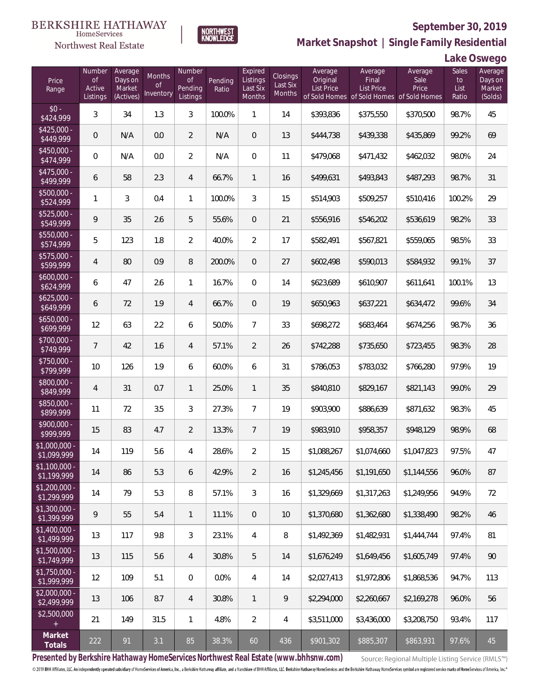

**NORTHWEST**<br>KNOWLEDGE

Northwest Real Estate

**Market Snapshot | Single Family Residential**

**Lake Oswego**

| Price<br>Range                | Number<br>of<br>Active<br>Listings | Average<br>Days on<br>Market<br>(Actives) | Months<br>0f<br>Inventory | Number<br>Οf<br>Pending<br>Listings | Pending<br>Ratio | Expired<br>Listings<br>Last Six<br><b>Months</b> | Closings<br>Last Six<br>Months | Average<br>Original<br>List Price | Average<br>Final<br>List Price<br>of Sold Homes of Sold Homes of Sold Homes | Average<br>Sale<br>Price | Sales<br>to<br>List<br>Ratio | Average<br>Days on<br>Market<br>(Solds) |
|-------------------------------|------------------------------------|-------------------------------------------|---------------------------|-------------------------------------|------------------|--------------------------------------------------|--------------------------------|-----------------------------------|-----------------------------------------------------------------------------|--------------------------|------------------------------|-----------------------------------------|
| $$0 -$<br>\$424,999           | 3                                  | 34                                        | 1.3                       | 3                                   | 100.0%           | 1                                                | 14                             | \$393,836                         | \$375,550                                                                   | \$370,500                | 98.7%                        | 45                                      |
| $$425,000 -$<br>\$449,999     | $\overline{0}$                     | N/A                                       | 0.0                       | $\overline{2}$                      | N/A              | $\overline{0}$                                   | 13                             | \$444,738                         | \$439,338                                                                   | \$435,869                | 99.2%                        | 69                                      |
| $$450,000 -$<br>\$474,999     | 0                                  | N/A                                       | 0.0                       | $\overline{2}$                      | N/A              | $\overline{0}$                                   | 11                             | \$479,068                         | \$471,432                                                                   | \$462,032                | 98.0%                        | 24                                      |
| $$475,000 -$<br>\$499,999     | 6                                  | 58                                        | 2.3                       | $\overline{4}$                      | 66.7%            | $\mathbf{1}$                                     | 16                             | \$499,631                         | \$493,843                                                                   | \$487,293                | 98.7%                        | 31                                      |
| \$500,000 -<br>\$524,999      | 1                                  | 3                                         | 0.4                       | $\mathbf{1}$                        | 100.0%           | 3                                                | 15                             | \$514,903                         | \$509,257                                                                   | \$510,416                | 100.2%                       | 29                                      |
| \$525,000 -<br>\$549,999      | 9                                  | 35                                        | 2.6                       | 5                                   | 55.6%            | $\mathbf{0}$                                     | 21                             | \$556,916                         | \$546,202                                                                   | \$536,619                | 98.2%                        | 33                                      |
| \$550,000 -<br>\$574,999      | 5                                  | 123                                       | 1.8                       | $\overline{2}$                      | 40.0%            | $\overline{2}$                                   | 17                             | \$582,491                         | \$567,821                                                                   | \$559,065                | 98.5%                        | 33                                      |
| \$575,000 -<br>\$599,999      | 4                                  | 80                                        | 0.9                       | 8                                   | 200.0%           | $\mathbf{0}$                                     | 27                             | \$602,498                         | \$590,013                                                                   | \$584,932                | 99.1%                        | 37                                      |
| $$600,000 -$<br>\$624,999     | 6                                  | 47                                        | 2.6                       | $\mathbf{1}$                        | 16.7%            | $\overline{0}$                                   | 14                             | \$623,689                         | \$610,907                                                                   | \$611,641                | 100.1%                       | 13                                      |
| $$625,000 -$<br>\$649,999     | 6                                  | 72                                        | 1.9                       | $\overline{4}$                      | 66.7%            | $\overline{0}$                                   | 19                             | \$650,963                         | \$637,221                                                                   | \$634,472                | 99.6%                        | 34                                      |
| $$650,000 -$<br>\$699,999     | 12                                 | 63                                        | 2.2                       | 6                                   | 50.0%            | $\overline{7}$                                   | 33                             | \$698,272                         | \$683,464                                                                   | \$674,256                | 98.7%                        | 36                                      |
| $$700,000 -$<br>\$749,999     | 7                                  | 42                                        | 1.6                       | $\overline{4}$                      | 57.1%            | $\overline{2}$                                   | 26                             | \$742,288                         | \$735,650                                                                   | \$723,455                | 98.3%                        | 28                                      |
| $$750,000 -$<br>\$799,999     | 10                                 | 126                                       | 1.9                       | 6                                   | 60.0%            | 6                                                | 31                             | \$786,053                         | \$783,032                                                                   | \$766,280                | 97.9%                        | 19                                      |
| \$800,000 -<br>\$849,999      | 4                                  | 31                                        | 0.7                       | $\mathbf{1}$                        | 25.0%            | $\mathbf{1}$                                     | 35                             | \$840,810                         | \$829,167                                                                   | \$821,143                | 99.0%                        | 29                                      |
| \$850,000 -<br>\$899,999      | 11                                 | 72                                        | 3.5                       | 3                                   | 27.3%            | $\overline{7}$                                   | 19                             | \$903,900                         | \$886,639                                                                   | \$871,632                | 98.3%                        | 45                                      |
| $$900,000 -$<br>\$999,999     | 15                                 | 83                                        | 4.7                       | $\overline{2}$                      | 13.3%            | $\overline{7}$                                   | 19                             | \$983,910                         | \$958,357                                                                   | \$948,129                | 98.9%                        | 68                                      |
| \$1,000,000 -<br>\$1,099,999  | 14                                 | 119                                       | 5.6                       | $\overline{4}$                      | 28.6%            | $\overline{2}$                                   | 15                             | \$1,088,267                       | \$1,074,660                                                                 | \$1,047,823              | 97.5%                        | 47                                      |
| $$1,100,000$ -<br>\$1,199,999 | 14                                 | 86                                        | 5.3                       | 6                                   | 42.9%            | $\overline{2}$                                   | 16                             | \$1,245,456                       | \$1,191,650                                                                 | \$1,144,556              | 96.0%                        | 87                                      |
| $$1,200,000 -$<br>\$1,299,999 | 14                                 | 79                                        | 5.3                       | 8                                   | 57.1%            | $\mathfrak{Z}$                                   | 16                             | \$1,329,669                       | \$1,317,263                                                                 | \$1,249,956              | 94.9%                        | 72                                      |
| $$1,300,000 -$<br>\$1,399,999 | 9                                  | 55                                        | 5.4                       | $\mathbf{1}$                        | 11.1%            | $\mathbf{0}$                                     | 10                             | \$1,370,680                       | \$1,362,680                                                                 | \$1,338,490              | 98.2%                        | 46                                      |
| $$1,400,000 -$<br>\$1,499,999 | 13                                 | 117                                       | 9.8                       | 3                                   | 23.1%            | $\overline{4}$                                   | 8                              | \$1,492,369                       | \$1,482,931                                                                 | \$1,444,744              | 97.4%                        | 81                                      |
| $$1,500,000 -$<br>\$1,749,999 | 13                                 | 115                                       | 5.6                       | $\overline{4}$                      | 30.8%            | 5                                                | 14                             | \$1,676,249                       | \$1,649,456                                                                 | \$1,605,749              | 97.4%                        | 90                                      |
| \$1,750,000 -<br>\$1,999,999  | 12                                 | 109                                       | 5.1                       | $\mathbf{0}$                        | 0.0%             | $\overline{4}$                                   | 14                             | \$2,027,413                       | \$1,972,806                                                                 | \$1,868,536              | 94.7%                        | 113                                     |
| $$2,000,000 -$<br>\$2,499,999 | 13                                 | 106                                       | 8.7                       | 4                                   | 30.8%            | $\mathbf{1}$                                     | 9                              | \$2,294,000                       | \$2,260,667                                                                 | \$2,169,278              | 96.0%                        | 56                                      |
| \$2,500,000                   | 21                                 | 149                                       | 31.5                      | $\mathbf{1}$                        | 4.8%             | $\overline{2}$                                   | 4                              | \$3,511,000                       | \$3,436,000                                                                 | \$3,208,750              | 93.4%                        | 117                                     |
| Market<br>Totals              | 222                                | 91                                        | 3.1                       | 85                                  | 38.3%            | 60                                               | 436                            | \$901,302                         | \$885,307                                                                   | \$863,931                | 97.6%                        | 45                                      |

**Presented by Berkshire Hathaway HomeServices Northwest Real Estate (www.bhhsnw.com)**

Source: Regional Multiple Listing Service (RMLS™)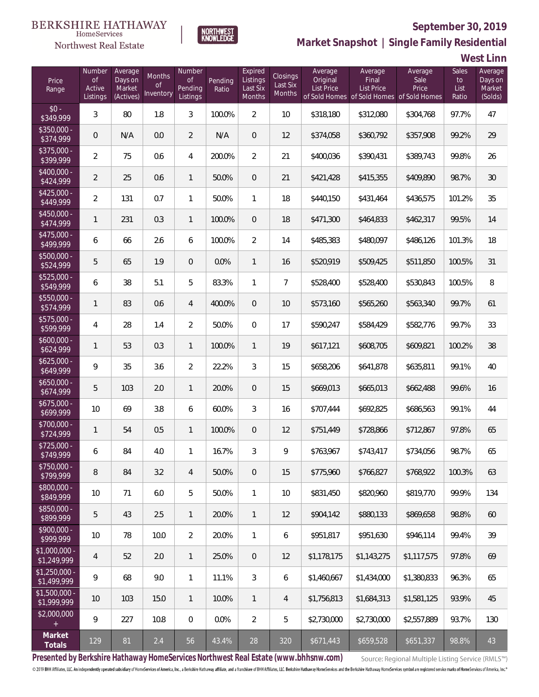

**NORTHWEST**<br>KNOWLEDGE

Northwest Real Estate

**Market Snapshot | Single Family Residential**

**West Linn**

| Price<br>Range                | Number<br>$\mathsf{of}$<br>Active<br>Listings | Average<br>Days on<br>Market<br>(Actives) | Months<br><b>of</b><br>Inventory | Number<br>Οf<br>Pending<br>Listings | Pending<br>Ratio | Expired<br>Listings<br>Last Six<br><b>Months</b> | Closings<br>Last Six<br>Months | Average<br>Original<br>List Price | Average<br>Final<br><b>List Price</b><br>of Sold Homes of Sold Homes of Sold Homes | Average<br>Sale<br>Price | Sales<br>to<br>List<br>Ratio | Average<br>Days on<br>Market<br>(Solds) |
|-------------------------------|-----------------------------------------------|-------------------------------------------|----------------------------------|-------------------------------------|------------------|--------------------------------------------------|--------------------------------|-----------------------------------|------------------------------------------------------------------------------------|--------------------------|------------------------------|-----------------------------------------|
| $$0 -$<br>\$349,999           | 3                                             | 80                                        | 1.8                              | 3                                   | 100.0%           | $\overline{2}$                                   | 10                             | \$318,180                         | \$312,080                                                                          | \$304,768                | 97.7%                        | 47                                      |
| $$350.000 -$<br>\$374,999     | 0                                             | N/A                                       | 0.0                              | $\overline{2}$                      | N/A              | $\overline{0}$                                   | 12                             | \$374,058                         | \$360,792                                                                          | \$357,908                | 99.2%                        | 29                                      |
| $$375.000 -$<br>\$399,999     | $\overline{2}$                                | 75                                        | 0.6                              | 4                                   | 200.0%           | $\overline{2}$                                   | 21                             | \$400,036                         | \$390,431                                                                          | \$389,743                | 99.8%                        | 26                                      |
| $$400.000 -$<br>\$424,999     | $\overline{2}$                                | 25                                        | 0.6                              | $\mathbf{1}$                        | 50.0%            | $\overline{0}$                                   | 21                             | \$421,428                         | \$415,355                                                                          | \$409,890                | 98.7%                        | 30                                      |
| $$425,000 -$<br>\$449,999     | 2                                             | 131                                       | 0.7                              | $\mathbf{1}$                        | 50.0%            | $\mathbf{1}$                                     | 18                             | \$440,150                         | \$431,464                                                                          | \$436,575                | 101.2%                       | 35                                      |
| $$450,000 -$<br>\$474,999     | 1                                             | 231                                       | 0.3                              | $\mathbf{1}$                        | 100.0%           | $\overline{0}$                                   | 18                             | \$471,300                         | \$464,833                                                                          | \$462,317                | 99.5%                        | 14                                      |
| $$475,000 -$<br>\$499,999     | 6                                             | 66                                        | 2.6                              | 6                                   | 100.0%           | $\overline{2}$                                   | 14                             | \$485,383                         | \$480,097                                                                          | \$486,126                | 101.3%                       | 18                                      |
| $$500,000 -$<br>\$524,999     | 5                                             | 65                                        | 1.9                              | $\overline{0}$                      | 0.0%             | $\mathbf{1}$                                     | 16                             | \$520,919                         | \$509,425                                                                          | \$511,850                | 100.5%                       | 31                                      |
| $$525,000 -$<br>\$549,999     | 6                                             | 38                                        | 5.1                              | 5                                   | 83.3%            | $\mathbf{1}$                                     | $\overline{7}$                 | \$528,400                         | \$528,400                                                                          | \$530,843                | 100.5%                       | 8                                       |
| $$550,000 -$<br>\$574,999     | 1                                             | 83                                        | 0.6                              | $\overline{4}$                      | 400.0%           | $\overline{0}$                                   | 10                             | \$573,160                         | \$565,260                                                                          | \$563,340                | 99.7%                        | 61                                      |
| $$575,000 -$<br>\$599,999     | 4                                             | 28                                        | 1.4                              | $\overline{2}$                      | 50.0%            | $\overline{0}$                                   | 17                             | \$590,247                         | \$584,429                                                                          | \$582,776                | 99.7%                        | 33                                      |
| $$600,000 -$<br>\$624,999     | 1                                             | 53                                        | 0.3                              | $\mathbf{1}$                        | 100.0%           | $\mathbf{1}$                                     | 19                             | \$617,121                         | \$608,705                                                                          | \$609,821                | 100.2%                       | 38                                      |
| $$625,000 -$<br>\$649,999     | 9                                             | 35                                        | 3.6                              | $\overline{2}$                      | 22.2%            | 3                                                | 15                             | \$658,206                         | \$641,878                                                                          | \$635,811                | 99.1%                        | 40                                      |
| $$650,000 -$<br>\$674,999     | 5                                             | 103                                       | 2.0                              | $\mathbf{1}$                        | 20.0%            | $\overline{0}$                                   | 15                             | \$669,013                         | \$665,013                                                                          | \$662,488                | 99.6%                        | 16                                      |
| $$675,000 -$<br>\$699,999     | 10                                            | 69                                        | 3.8                              | 6                                   | 60.0%            | 3                                                | 16                             | \$707,444                         | \$692,825                                                                          | \$686,563                | 99.1%                        | 44                                      |
| \$700,000 -<br>\$724,999      | 1                                             | 54                                        | 0.5                              | $\mathbf{1}$                        | 100.0%           | $\overline{0}$                                   | 12                             | \$751,449                         | \$728,866                                                                          | \$712,867                | 97.8%                        | 65                                      |
| \$725,000 -<br>\$749,999      | 6                                             | 84                                        | 4.0                              | $\mathbf{1}$                        | 16.7%            | 3                                                | 9                              | \$763,967                         | \$743,417                                                                          | \$734,056                | 98.7%                        | 65                                      |
| $$750,000 -$<br>\$799,999     | 8                                             | 84                                        | 3.2                              | $\overline{4}$                      | 50.0%            | $\theta$                                         | 15                             | \$775,960                         | \$766,827                                                                          | \$768.922                | 100.3%                       | 63                                      |
| $$800,000 -$<br>\$849,999     | 10                                            | 71                                        | 6.0                              | 5                                   | 50.0%            | $\mathbf{1}$                                     | 10                             | \$831,450                         | \$820,960                                                                          | \$819,770                | 99.9%                        | 134                                     |
| \$850,000 -<br>\$899,999      | 5                                             | 43                                        | 2.5                              | $\mathbf{1}$                        | 20.0%            | $\mathbf{1}$                                     | 12                             | \$904,142                         | \$880.133                                                                          | \$869,658                | 98.8%                        | 60                                      |
| $$900,000 -$<br>\$999,999     | 10                                            | 78                                        | 10.0                             | $\overline{2}$                      | 20.0%            | $\mathbf{1}$                                     | 6                              | \$951,817                         | \$951,630                                                                          | \$946,114                | 99.4%                        | 39                                      |
| \$1,000,000 -<br>\$1,249,999  | $\overline{4}$                                | 52                                        | 2.0                              | $\mathbf{1}$                        | 25.0%            | $\overline{0}$                                   | 12                             | \$1,178,175                       | \$1,143,275                                                                        | \$1,117,575              | 97.8%                        | 69                                      |
| $$1,250,000 -$<br>\$1,499,999 | 9                                             | 68                                        | 9.0                              | $\mathbf{1}$                        | 11.1%            | 3                                                | 6                              | \$1,460,667                       | \$1,434,000                                                                        | \$1,380,833              | 96.3%                        | 65                                      |
| $$1,500,000 -$<br>\$1,999,999 | 10                                            | 103                                       | 15.0                             | $\mathbf{1}$                        | 10.0%            | $\mathbf{1}$                                     | 4                              | \$1,756,813                       | \$1,684,313                                                                        | \$1,581,125              | 93.9%                        | 45                                      |
| \$2,000,000                   | 9                                             | 227                                       | 10.8                             | $\overline{0}$                      | 0.0%             | $\overline{2}$                                   | 5                              | \$2,730,000                       | \$2,730,000                                                                        | \$2,557,889              | 93.7%                        | 130                                     |
| Market<br>Totals              | 129                                           | 81                                        | 2.4                              | 56                                  | 43.4%            | 28                                               | 320                            | \$671,443                         | \$659,528                                                                          | \$651,337                | 98.8%                        | 43                                      |

**Presented by Berkshire Hathaway HomeServices Northwest Real Estate (www.bhhsnw.com)**

Source: Regional Multiple Listing Service (RMLS™)